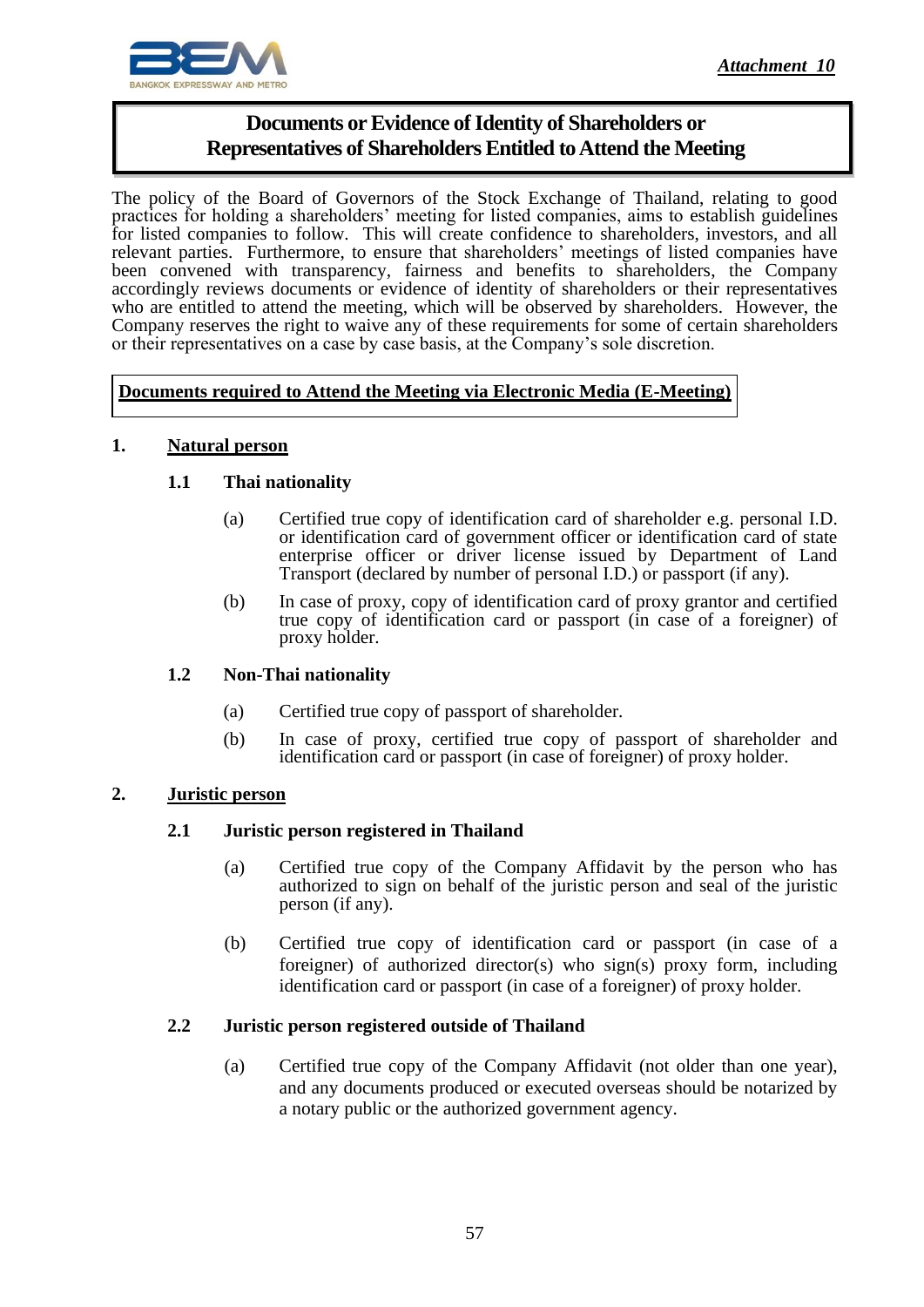

# **Documents or Evidence of Identity of Shareholders or Representatives of Shareholders Entitled to Attend the Meeting**

The policy of the Board of Governors of the Stock Exchange of Thailand, relating to good practices for holding a shareholders' meeting for listed companies, aims to establish guidelines for listed companies to follow. This will create confidence to shareholders, investors, and all relevant parties. Furthermore, to ensure that shareholders' meetings of listed companies have been convened with transparency, fairness and benefits to shareholders, the Company accordingly reviews documents or evidence of identity of shareholders or their representatives who are entitled to attend the meeting, which will be observed by shareholders. However, the Company reserves the right to waive any of these requirements for some of certain shareholders or their representatives on a case by case basis, at the Company's sole discretion.

# **Documents required to Attend the Meeting via Electronic Media (E-Meeting)**

#### **1. Natural person**

#### **1.1 Thai nationality**

- (a) Certified true copy of identification card of shareholder e.g. personal I.D. or identification card of government officer or identification card of state enterprise officer or driver license issued by Department of Land Transport (declared by number of personal I.D.) or passport (if any).
- (b) In case of proxy, copy of identification card of proxy grantor and certified true copy of identification card or passport (in case of a foreigner) of proxy holder.

#### **1.2 Non-Thai nationality**

- (a) Certified true copy of passport of shareholder.
- (b) In case of proxy, certified true copy of passport of shareholder and identification card or passport (in case of foreigner) of proxy holder.

# **2. Juristic person**

# **2.1 Juristic person registered in Thailand**

- (a) Certified true copy of the Company Affidavit by the person who has authorized to sign on behalf of the juristic person and seal of the juristic person (if any).
- (b) Certified true copy of identification card or passport (in case of a foreigner) of authorized director(s) who sign(s) proxy form, including identification card or passport (in case of a foreigner) of proxy holder.

#### **2.2 Juristic person registered outside of Thailand**

(a) Certified true copy of the Company Affidavit (not older than one year), and any documents produced or executed overseas should be notarized by a notary public or the authorized government agency.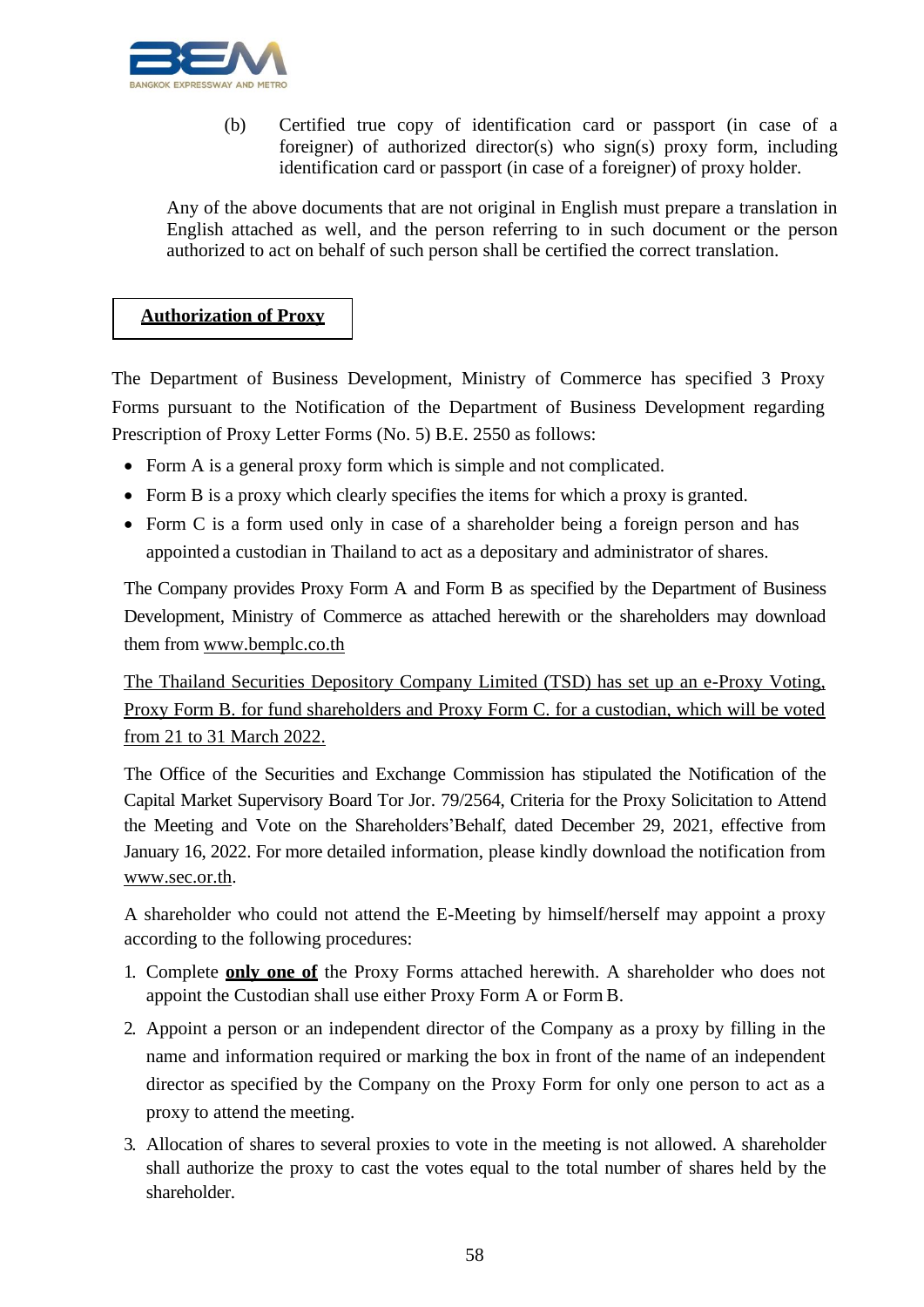

(b) Certified true copy of identification card or passport (in case of a foreigner) of authorized director(s) who sign(s) proxy form, including identification card or passport (in case of a foreigner) of proxy holder.

Any of the above documents that are not original in English must prepare a translation in English attached as well, and the person referring to in such document or the person authorized to act on behalf of such person shall be certified the correct translation.

# **Authorization of Proxy**

The Department of Business Development, Ministry of Commerce has specified 3 Proxy Forms pursuant to the Notification of the Department of Business Development regarding Prescription of Proxy Letter Forms (No. 5) B.E. 2550 as follows:

- Form A is a general proxy form which is simple and not complicated.
- Form B is a proxy which clearly specifies the items for which a proxy is granted.
- Form C is a form used only in case of a shareholder being a foreign person and has appointed a custodian in Thailand to act as a depositary and administrator of shares.

The Company provides Proxy Form A and Form B as specified by the Department of Business Development, Ministry of Commerce as attached herewith or the shareholders may download them from [www.bemplc.co.th](http://www.bemplc.co.th/)

The Thailand Securities Depository Company Limited (TSD) has set up an e-Proxy Voting, Proxy Form B. for fund shareholders and Proxy Form C. for a custodian, which will be voted from 21 to 31 March 2022.

The Office of the Securities and Exchange Commission has stipulated the Notification of the Capital Market Supervisory Board Tor Jor. 79/2564, Criteria for the Proxy Solicitation to Attend the Meeting and Vote on the Shareholders'Behalf, dated December 29, 2021, effective from January 16, 2022. For more detailed information, please kindly download the notification from [www.sec.or.th.](http://www.sec.or.th/)

A shareholder who could not attend the E-Meeting by himself/herself may appoint a proxy according to the following procedures:

- 1. Complete **only one of** the Proxy Forms attached herewith. A shareholder who does not appoint the Custodian shall use either Proxy Form A or Form B.
- 2. Appoint a person or an independent director of the Company as a proxy by filling in the name and information required or marking the box in front of the name of an independent director as specified by the Company on the Proxy Form for only one person to act as a proxy to attend the meeting.
- 3. Allocation of shares to several proxies to vote in the meeting is not allowed. A shareholder shall authorize the proxy to cast the votes equal to the total number of shares held by the shareholder.